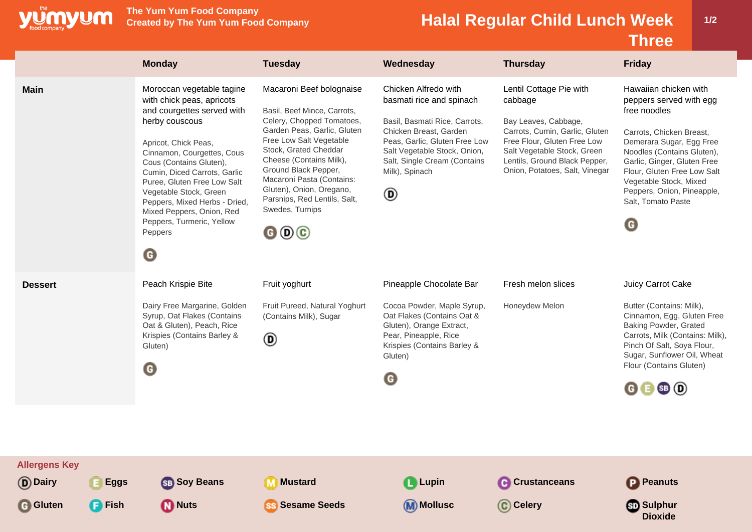

**Main** Moroccan vegetable tagine

**The Yum Yum Food Company**

Basil, Beef Mince, Carrots, Celery, Chopped Tomatoes, Garden Peas, Garlic, Gluten Free Low Salt Vegetable Stock, Grated Cheddar Cheese (Contains Milk), Ground Black Pepper, Macaroni Pasta (Contains: Gluten), Onion, Oregano, Parsnips, Red Lentils, Salt,

Swedes, Turnips

 $000$ 

with chick peas, apricots and courgettes served with

herby couscous

Peppers

 $\bullet$ 

Apricot, Chick Peas, Cinnamon, Courgettes, Cous Cous (Contains Gluten), Cumin, Diced Carrots, Garlic Puree, Gluten Free Low Salt Vegetable Stock, Green Peppers, Mixed Herbs - Dried, Mixed Peppers, Onion, Red Peppers, Turmeric, Yellow

## **Halal Regular Child Lunch Week**

Bay Leaves, Cabbage, Carrots, Cumin, Garlic, Gluten Free Flour, Gluten Free Low Salt Vegetable Stock, Green Lentils, Ground Black Pepper, Onion, Potatoes, Salt, Vinegar **1/2**

|                                                        |                          |                                                  |                                    | <b>Three</b>                                     |
|--------------------------------------------------------|--------------------------|--------------------------------------------------|------------------------------------|--------------------------------------------------|
| <b>Monday</b>                                          | Tuesday                  | Wednesday                                        | <b>Thursday</b>                    | <b>Friday</b>                                    |
| Moroccan vegetable tagine<br>with chick peas, apricots | Macaroni Beef bolognaise | Chicken Alfredo with<br>basmati rice and spinach | Lentil Cottage Pie with<br>cabbage | Hawaiian chicken with<br>peppers served with egg |

peppers served with egg free noodles

Carrots, Chicken Breast, Demerara Sugar, Egg Free Noodles (Contains Gluten), Garlic, Ginger, Gluten Free Flour, Gluten Free Low Salt Vegetable Stock, Mixed Peppers, Onion, Pineapple, Salt, Tomato Paste

 $\mathbf G$ 

| <b>Dessert</b> | Peach Krispie Bite                                                                                                                                 | Fruit yoghurt                                                | Pineapple Chocolate Bar                                                                                                                                                          | Fresh melon slices | Juicy Carrot Cake                                                                                                                                                                                                                                                      |
|----------------|----------------------------------------------------------------------------------------------------------------------------------------------------|--------------------------------------------------------------|----------------------------------------------------------------------------------------------------------------------------------------------------------------------------------|--------------------|------------------------------------------------------------------------------------------------------------------------------------------------------------------------------------------------------------------------------------------------------------------------|
|                | Dairy Free Margarine, Golden<br>Syrup, Oat Flakes (Contains<br>Oat & Gluten), Peach, Rice<br>Krispies (Contains Barley &<br>Gluten)<br>$\mathbf G$ | Fruit Pureed, Natural Yoghurt<br>(Contains Milk), Sugar<br>◉ | Cocoa Powder, Maple Syrup,<br>Oat Flakes (Contains Oat &<br>Gluten), Orange Extract,<br>Pear, Pineapple, Rice<br>Krispies (Contains Barley &<br>Gluten)<br>$\boldsymbol{\Theta}$ | Honeydew Melon     | Butter (Contains: Milk),<br>Cinnamon, Egg, Gluten Free<br><b>Baking Powder, Grated</b><br>Carrots, Milk (Contains: Milk),<br>Pinch Of Salt, Soya Flour,<br>Sugar, Sunflower Oil, Wheat<br>Flour (Contains Gluten)<br>$\mathbf{\Theta} \mathbf{\Theta} \mathbf{\Theta}$ |
|                |                                                                                                                                                    |                                                              |                                                                                                                                                                                  |                    |                                                                                                                                                                                                                                                                        |

Milk), Spinach

 $^{\circ}$ 

Basil, Basmati Rice, Carrots, Chicken Breast, Garden Peas, Garlic, Gluten Free Low Salt Vegetable Stock, Onion, Salt, Single Cream (Contains